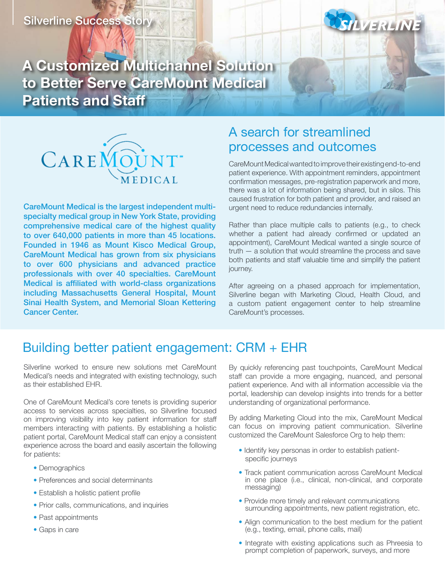

**A Customized Multichannel Solution to Better Serve CareMount Medical Patients and Staff**



CareMount Medical is the largest independent multispecialty medical group in New York State, providing comprehensive medical care of the highest quality to over 640,000 patients in more than 45 locations. Founded in 1946 as Mount Kisco Medical Group, CareMount Medical has grown from six physicians to over 600 physicians and advanced practice professionals with over 40 specialties. CareMount Medical is affiliated with world-class organizations including Massachusetts General Hospital, Mount Sinai Health System, and Memorial Sloan Kettering Cancer Center.

## A search for streamlined processes and outcomes

CareMount Medical wanted to improve their existing end-to-end patient experience. With appointment reminders, appointment confirmation messages, pre-registration paperwork and more, there was a lot of information being shared, but in silos. This caused frustration for both patient and provider, and raised an urgent need to reduce redundancies internally.

Rather than place multiple calls to patients (e.g., to check whether a patient had already confirmed or updated an appointment), CareMount Medical wanted a single source of truth — a solution that would streamline the process and save both patients and staff valuable time and simplify the patient journey.

After agreeing on a phased approach for implementation, Silverline began with Marketing Cloud, Health Cloud, and a custom patient engagement center to help streamline CareMount's processes.

## Building better patient engagement: CRM + EHR

Silverline worked to ensure new solutions met CareMount Medical's needs and integrated with existing technology, such as their established EHR.

One of CareMount Medical's core tenets is providing superior access to services across specialties, so Silverline focused on improving visibility into key patient information for staff members interacting with patients. By establishing a holistic patient portal, CareMount Medical staff can enjoy a consistent experience across the board and easily ascertain the following for patients:

- Demographics
- Preferences and social determinants
- Establish a holistic patient profile
- Prior calls, communications, and inquiries
- Past appointments
- Gaps in care

By quickly referencing past touchpoints, CareMount Medical staff can provide a more engaging, nuanced, and personal patient experience. And with all information accessible via the portal, leadership can develop insights into trends for a better understanding of organizational performance.

By adding Marketing Cloud into the mix, CareMount Medical can focus on improving patient communication. Silverline customized the CareMount Salesforce Org to help them:

- Identify key personas in order to establish patientspecific journeys
- Track patient communication across CareMount Medical in one place (i.e., clinical, non-clinical, and corporate messaging)
- Provide more timely and relevant communications surrounding appointments, new patient registration, etc.
- Align communication to the best medium for the patient (e.g., texting, email, phone calls, mail)
- Integrate with existing applications such as Phreesia to prompt completion of paperwork, surveys, and more